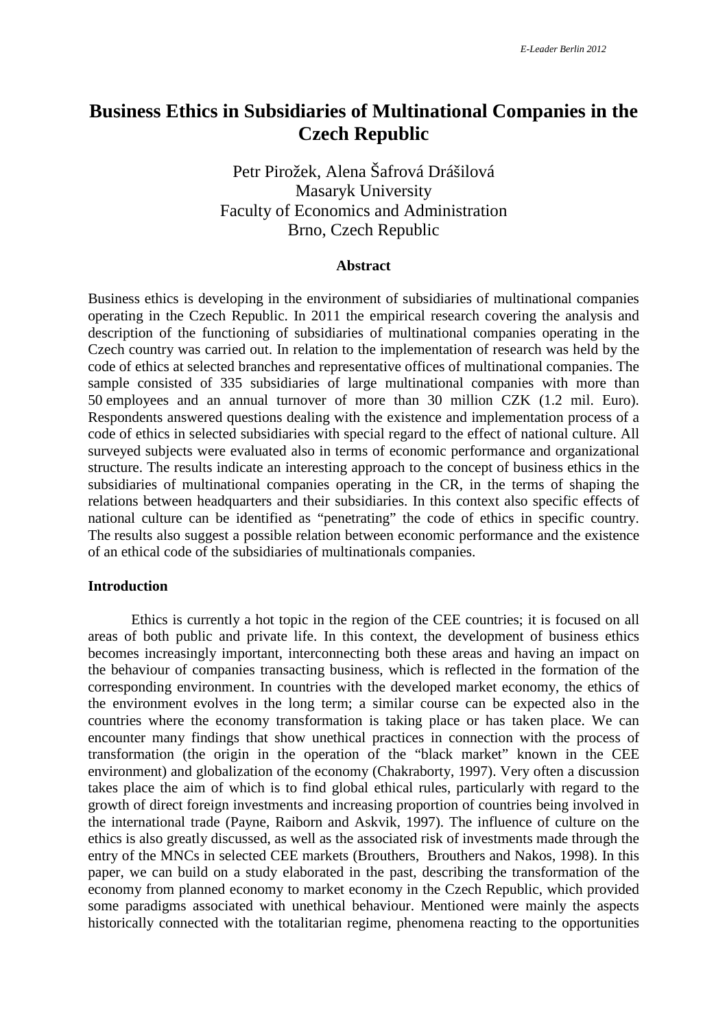# **Business Ethics in Subsidiaries of Multinational Companies in the Czech Republic**

## Petr Pirožek, Alena Šafrová Drášilová Masaryk University Faculty of Economics and Administration Brno, Czech Republic

## **Abstract**

Business ethics is developing in the environment of subsidiaries of multinational companies operating in the Czech Republic. In 2011 the empirical research covering the analysis and description of the functioning of subsidiaries of multinational companies operating in the Czech country was carried out. In relation to the implementation of research was held by the code of ethics at selected branches and representative offices of multinational companies. The sample consisted of 335 subsidiaries of large multinational companies with more than 50 employees and an annual turnover of more than 30 million CZK (1.2 mil. Euro). Respondents answered questions dealing with the existence and implementation process of a code of ethics in selected subsidiaries with special regard to the effect of national culture. All surveyed subjects were evaluated also in terms of economic performance and organizational structure. The results indicate an interesting approach to the concept of business ethics in the subsidiaries of multinational companies operating in the CR, in the terms of shaping the relations between headquarters and their subsidiaries. In this context also specific effects of national culture can be identified as "penetrating" the code of ethics in specific country. The results also suggest a possible relation between economic performance and the existence of an ethical code of the subsidiaries of multinationals companies.

#### **Introduction**

Ethics is currently a hot topic in the region of the CEE countries; it is focused on all areas of both public and private life. In this context, the development of business ethics becomes increasingly important, interconnecting both these areas and having an impact on the behaviour of companies transacting business, which is reflected in the formation of the corresponding environment. In countries with the developed market economy, the ethics of the environment evolves in the long term; a similar course can be expected also in the countries where the economy transformation is taking place or has taken place. We can encounter many findings that show unethical practices in connection with the process of transformation (the origin in the operation of the "black market" known in the CEE environment) and globalization of the economy (Chakraborty, 1997). Very often a discussion takes place the aim of which is to find global ethical rules, particularly with regard to the growth of direct foreign investments and increasing proportion of countries being involved in the international trade (Payne, Raiborn and Askvik, 1997). The influence of culture on the ethics is also greatly discussed, as well as the associated risk of investments made through the entry of the MNCs in selected CEE markets (Brouthers, Brouthers and Nakos, 1998). In this paper, we can build on a study elaborated in the past, describing the transformation of the economy from planned economy to market economy in the Czech Republic, which provided some paradigms associated with unethical behaviour. Mentioned were mainly the aspects historically connected with the totalitarian regime, phenomena reacting to the opportunities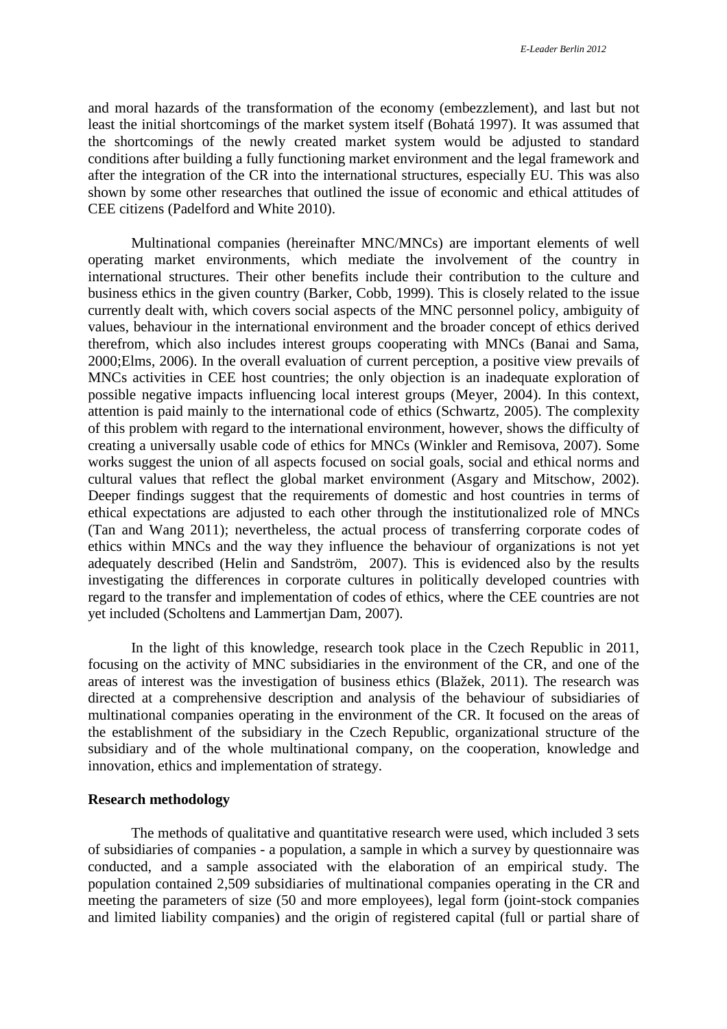and moral hazards of the transformation of the economy (embezzlement), and last but not least the initial shortcomings of the market system itself (Bohatá 1997). It was assumed that the shortcomings of the newly created market system would be adjusted to standard conditions after building a fully functioning market environment and the legal framework and after the integration of the CR into the international structures, especially EU. This was also shown by some other researches that outlined the issue of economic and ethical attitudes of CEE citizens (Padelford and White 2010).

Multinational companies (hereinafter MNC/MNCs) are important elements of well operating market environments, which mediate the involvement of the country in international structures. Their other benefits include their contribution to the culture and business ethics in the given country (Barker, Cobb, 1999). This is closely related to the issue currently dealt with, which covers social aspects of the MNC personnel policy, ambiguity of values, behaviour in the international environment and the broader concept of ethics derived therefrom, which also includes interest groups cooperating with MNCs (Banai and Sama, 2000;Elms, 2006). In the overall evaluation of current perception, a positive view prevails of MNCs activities in CEE host countries; the only objection is an inadequate exploration of possible negative impacts influencing local interest groups (Meyer, 2004). In this context, attention is paid mainly to the international code of ethics (Schwartz, 2005). The complexity of this problem with regard to the international environment, however, shows the difficulty of creating a universally usable code of ethics for MNCs (Winkler and Remisova, 2007). Some works suggest the union of all aspects focused on social goals, social and ethical norms and cultural values that reflect the global market environment (Asgary and Mitschow, 2002). Deeper findings suggest that the requirements of domestic and host countries in terms of ethical expectations are adjusted to each other through the institutionalized role of MNCs (Tan and Wang 2011); nevertheless, the actual process of transferring corporate codes of ethics within MNCs and the way they influence the behaviour of organizations is not yet adequately described (Helin and Sandström, 2007). This is evidenced also by the results investigating the differences in corporate cultures in politically developed countries with regard to the transfer and implementation of codes of ethics, where the CEE countries are not yet included (Scholtens and Lammertjan Dam, 2007).

In the light of this knowledge, research took place in the Czech Republic in 2011, focusing on the activity of MNC subsidiaries in the environment of the CR, and one of the areas of interest was the investigation of business ethics (Blažek, 2011). The research was directed at a comprehensive description and analysis of the behaviour of subsidiaries of multinational companies operating in the environment of the CR. It focused on the areas of the establishment of the subsidiary in the Czech Republic, organizational structure of the subsidiary and of the whole multinational company, on the cooperation, knowledge and innovation, ethics and implementation of strategy.

## **Research methodology**

The methods of qualitative and quantitative research were used, which included 3 sets of subsidiaries of companies - a population, a sample in which a survey by questionnaire was conducted, and a sample associated with the elaboration of an empirical study. The population contained 2,509 subsidiaries of multinational companies operating in the CR and meeting the parameters of size (50 and more employees), legal form (joint-stock companies and limited liability companies) and the origin of registered capital (full or partial share of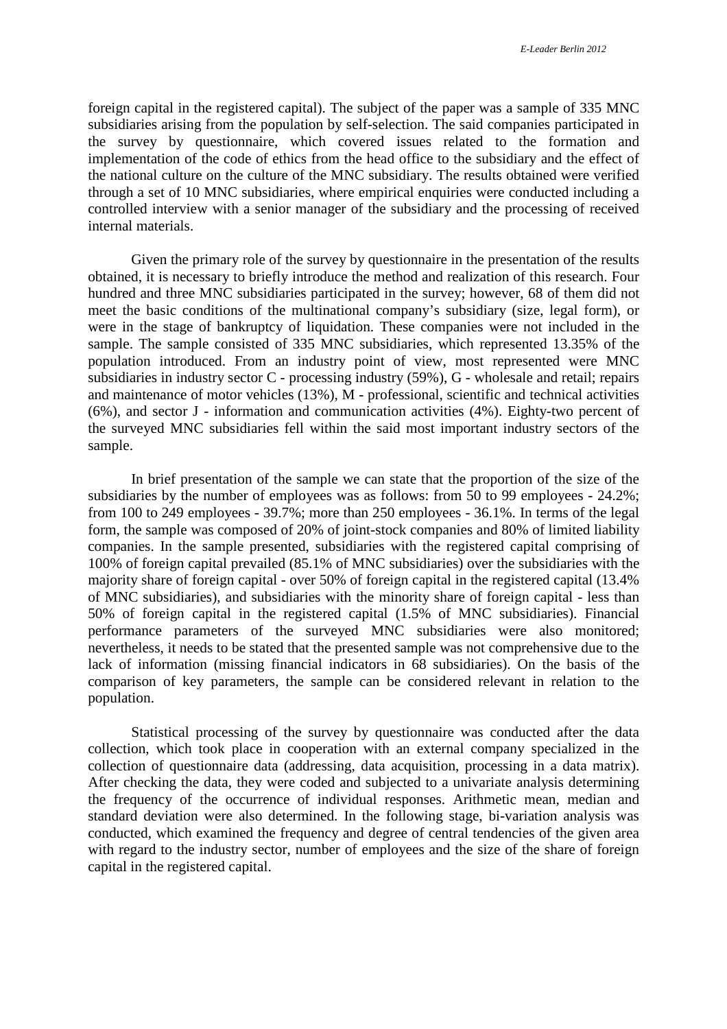foreign capital in the registered capital). The subject of the paper was a sample of 335 MNC subsidiaries arising from the population by self-selection. The said companies participated in the survey by questionnaire, which covered issues related to the formation and implementation of the code of ethics from the head office to the subsidiary and the effect of the national culture on the culture of the MNC subsidiary. The results obtained were verified through a set of 10 MNC subsidiaries, where empirical enquiries were conducted including a controlled interview with a senior manager of the subsidiary and the processing of received internal materials.

Given the primary role of the survey by questionnaire in the presentation of the results obtained, it is necessary to briefly introduce the method and realization of this research. Four hundred and three MNC subsidiaries participated in the survey; however, 68 of them did not meet the basic conditions of the multinational company's subsidiary (size, legal form), or were in the stage of bankruptcy of liquidation. These companies were not included in the sample. The sample consisted of 335 MNC subsidiaries, which represented 13.35% of the population introduced. From an industry point of view, most represented were MNC subsidiaries in industry sector C - processing industry (59%), G - wholesale and retail; repairs and maintenance of motor vehicles (13%), M - professional, scientific and technical activities (6%), and sector J - information and communication activities (4%). Eighty-two percent of the surveyed MNC subsidiaries fell within the said most important industry sectors of the sample.

In brief presentation of the sample we can state that the proportion of the size of the subsidiaries by the number of employees was as follows: from 50 to 99 employees - 24.2%; from 100 to 249 employees - 39.7%; more than 250 employees - 36.1%. In terms of the legal form, the sample was composed of 20% of joint-stock companies and 80% of limited liability companies. In the sample presented, subsidiaries with the registered capital comprising of 100% of foreign capital prevailed (85.1% of MNC subsidiaries) over the subsidiaries with the majority share of foreign capital - over 50% of foreign capital in the registered capital (13.4% of MNC subsidiaries), and subsidiaries with the minority share of foreign capital - less than 50% of foreign capital in the registered capital (1.5% of MNC subsidiaries). Financial performance parameters of the surveyed MNC subsidiaries were also monitored; nevertheless, it needs to be stated that the presented sample was not comprehensive due to the lack of information (missing financial indicators in 68 subsidiaries). On the basis of the comparison of key parameters, the sample can be considered relevant in relation to the population.

Statistical processing of the survey by questionnaire was conducted after the data collection, which took place in cooperation with an external company specialized in the collection of questionnaire data (addressing, data acquisition, processing in a data matrix). After checking the data, they were coded and subjected to a univariate analysis determining the frequency of the occurrence of individual responses. Arithmetic mean, median and standard deviation were also determined. In the following stage, bi-variation analysis was conducted, which examined the frequency and degree of central tendencies of the given area with regard to the industry sector, number of employees and the size of the share of foreign capital in the registered capital.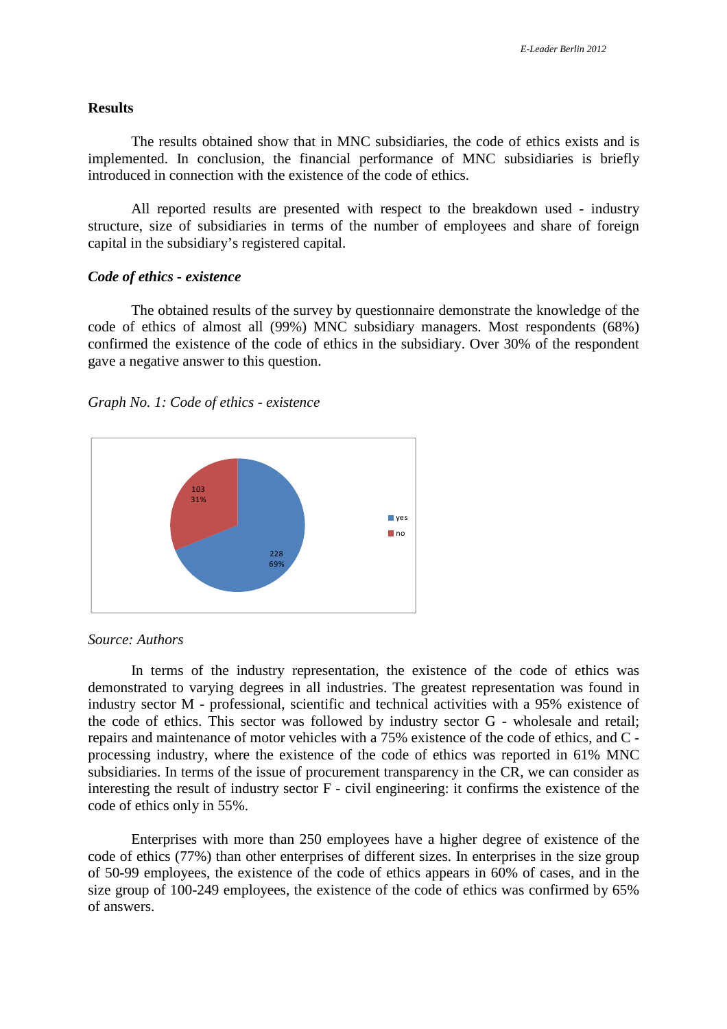#### **Results**

The results obtained show that in MNC subsidiaries, the code of ethics exists and is implemented. In conclusion, the financial performance of MNC subsidiaries is briefly introduced in connection with the existence of the code of ethics.

All reported results are presented with respect to the breakdown used - industry structure, size of subsidiaries in terms of the number of employees and share of foreign capital in the subsidiary's registered capital.

#### *Code of ethics - existence*

The obtained results of the survey by questionnaire demonstrate the knowledge of the code of ethics of almost all (99%) MNC subsidiary managers. Most respondents (68%) confirmed the existence of the code of ethics in the subsidiary. Over 30% of the respondent gave a negative answer to this question.





*Source: Authors* 

In terms of the industry representation, the existence of the code of ethics was demonstrated to varying degrees in all industries. The greatest representation was found in industry sector M - professional, scientific and technical activities with a 95% existence of the code of ethics. This sector was followed by industry sector G - wholesale and retail; repairs and maintenance of motor vehicles with a 75% existence of the code of ethics, and C processing industry, where the existence of the code of ethics was reported in 61% MNC subsidiaries. In terms of the issue of procurement transparency in the CR, we can consider as interesting the result of industry sector F - civil engineering: it confirms the existence of the code of ethics only in 55%.

Enterprises with more than 250 employees have a higher degree of existence of the code of ethics (77%) than other enterprises of different sizes. In enterprises in the size group of 50-99 employees, the existence of the code of ethics appears in 60% of cases, and in the size group of 100-249 employees, the existence of the code of ethics was confirmed by 65% of answers.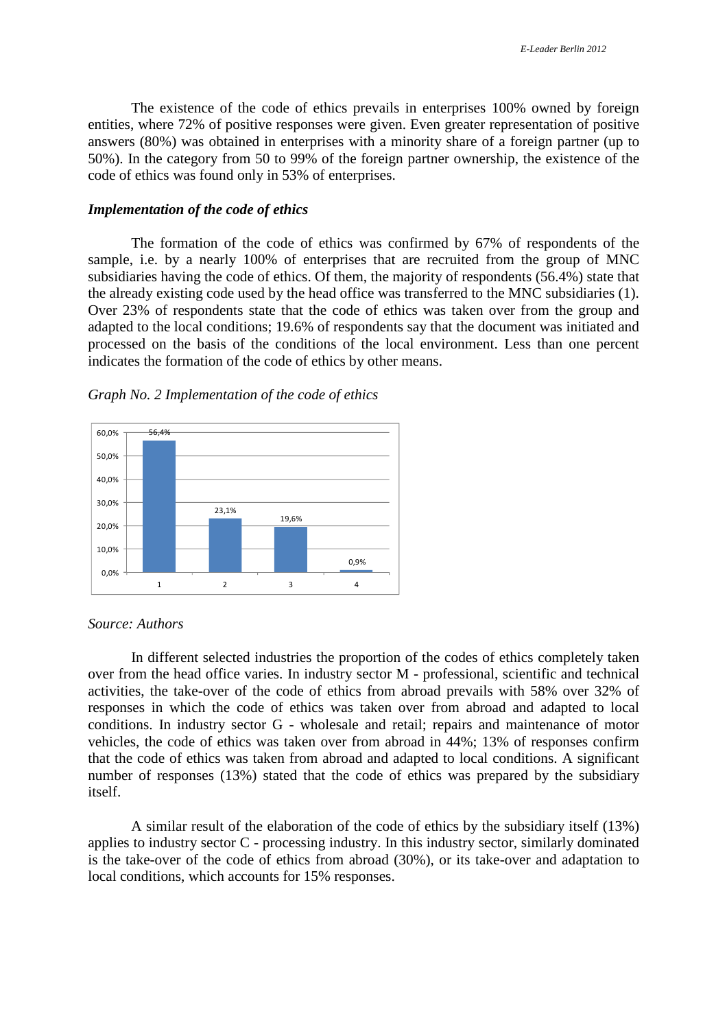The existence of the code of ethics prevails in enterprises 100% owned by foreign entities, where 72% of positive responses were given. Even greater representation of positive answers (80%) was obtained in enterprises with a minority share of a foreign partner (up to 50%). In the category from 50 to 99% of the foreign partner ownership, the existence of the code of ethics was found only in 53% of enterprises.

### *Implementation of the code of ethics*

The formation of the code of ethics was confirmed by 67% of respondents of the sample, i.e. by a nearly 100% of enterprises that are recruited from the group of MNC subsidiaries having the code of ethics. Of them, the majority of respondents (56.4%) state that the already existing code used by the head office was transferred to the MNC subsidiaries (1). Over 23% of respondents state that the code of ethics was taken over from the group and adapted to the local conditions; 19.6% of respondents say that the document was initiated and processed on the basis of the conditions of the local environment. Less than one percent indicates the formation of the code of ethics by other means.



*Graph No. 2 Implementation of the code of ethics* 

## *Source: Authors*

In different selected industries the proportion of the codes of ethics completely taken over from the head office varies. In industry sector M - professional, scientific and technical activities, the take-over of the code of ethics from abroad prevails with 58% over 32% of responses in which the code of ethics was taken over from abroad and adapted to local conditions. In industry sector G - wholesale and retail; repairs and maintenance of motor vehicles, the code of ethics was taken over from abroad in 44%; 13% of responses confirm that the code of ethics was taken from abroad and adapted to local conditions. A significant number of responses (13%) stated that the code of ethics was prepared by the subsidiary itself.

A similar result of the elaboration of the code of ethics by the subsidiary itself (13%) applies to industry sector C - processing industry. In this industry sector, similarly dominated is the take-over of the code of ethics from abroad (30%), or its take-over and adaptation to local conditions, which accounts for 15% responses.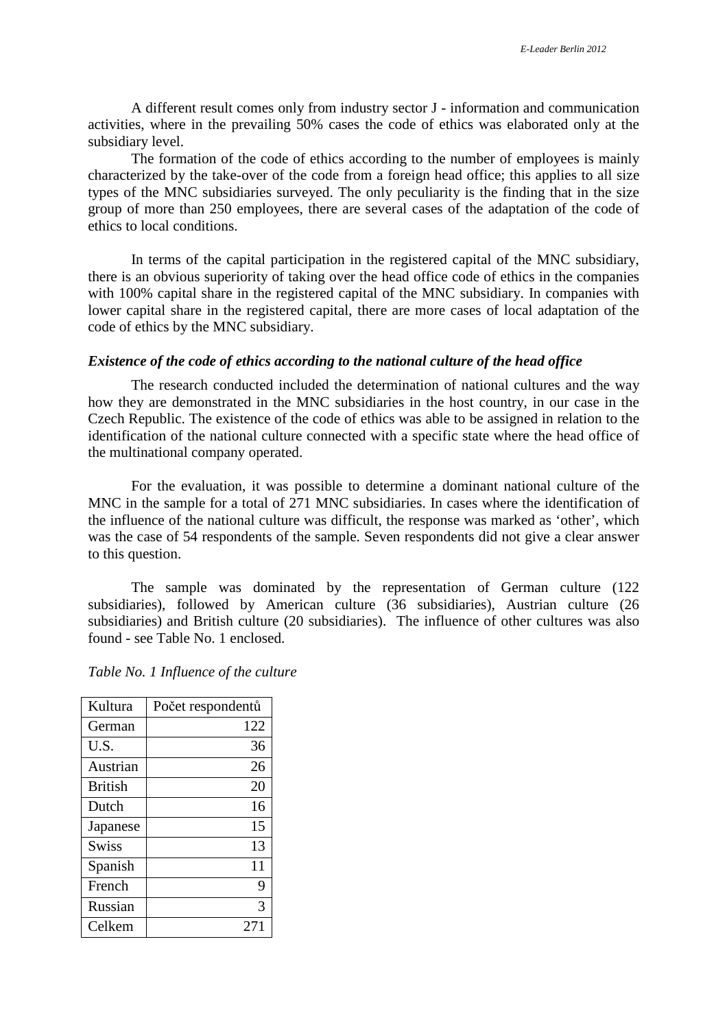A different result comes only from industry sector J - information and communication activities, where in the prevailing 50% cases the code of ethics was elaborated only at the subsidiary level.

The formation of the code of ethics according to the number of employees is mainly characterized by the take-over of the code from a foreign head office; this applies to all size types of the MNC subsidiaries surveyed. The only peculiarity is the finding that in the size group of more than 250 employees, there are several cases of the adaptation of the code of ethics to local conditions.

In terms of the capital participation in the registered capital of the MNC subsidiary, there is an obvious superiority of taking over the head office code of ethics in the companies with 100% capital share in the registered capital of the MNC subsidiary. In companies with lower capital share in the registered capital, there are more cases of local adaptation of the code of ethics by the MNC subsidiary.

## *Existence of the code of ethics according to the national culture of the head office*

The research conducted included the determination of national cultures and the way how they are demonstrated in the MNC subsidiaries in the host country, in our case in the Czech Republic. The existence of the code of ethics was able to be assigned in relation to the identification of the national culture connected with a specific state where the head office of the multinational company operated.

For the evaluation, it was possible to determine a dominant national culture of the MNC in the sample for a total of 271 MNC subsidiaries. In cases where the identification of the influence of the national culture was difficult, the response was marked as 'other', which was the case of 54 respondents of the sample. Seven respondents did not give a clear answer to this question.

The sample was dominated by the representation of German culture (122 subsidiaries), followed by American culture (36 subsidiaries), Austrian culture (26 subsidiaries) and British culture (20 subsidiaries). The influence of other cultures was also found - see Table No. 1 enclosed.

| Table No. 1 Influence of the culture |  |  |
|--------------------------------------|--|--|
|                                      |  |  |

| Kultura        | Počet respondentů |
|----------------|-------------------|
| German         | 122               |
| U.S.           | 36                |
| Austrian       | 26                |
| <b>British</b> | 20                |
| Dutch          | 16                |
| Japanese       | 15                |
| <b>Swiss</b>   | 13                |
| Spanish        | 11                |
| French         | 9                 |
| Russian        | 3                 |
| Celkem         | 27                |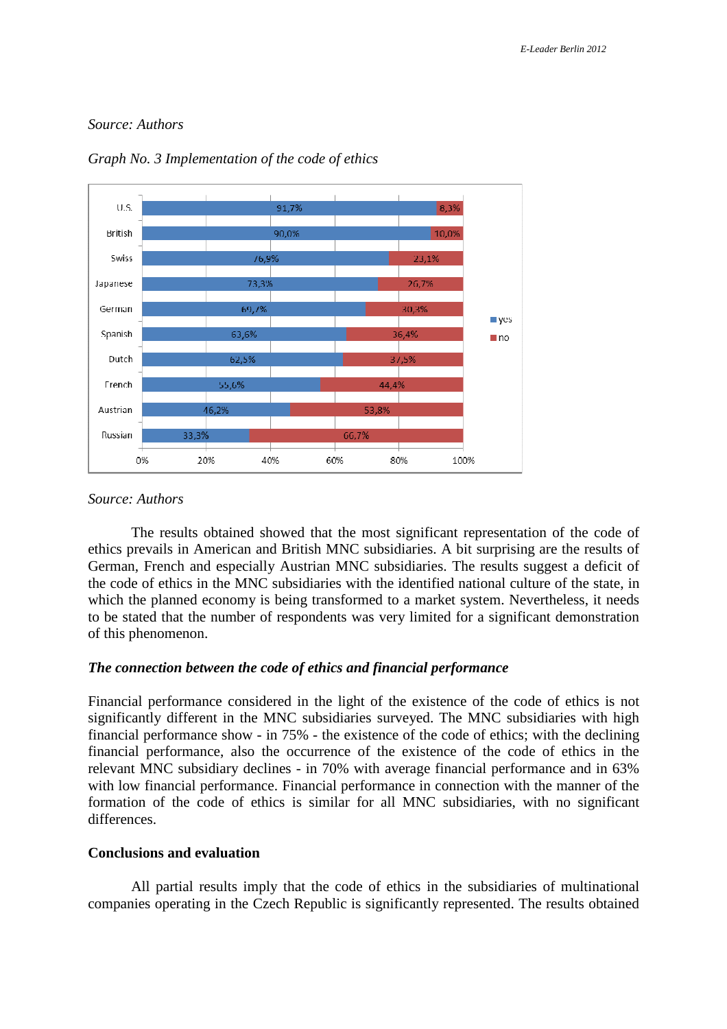## *Source: Authors*



*Graph No. 3 Implementation of the code of ethics* 

### *Source: Authors*

The results obtained showed that the most significant representation of the code of ethics prevails in American and British MNC subsidiaries. A bit surprising are the results of German, French and especially Austrian MNC subsidiaries. The results suggest a deficit of the code of ethics in the MNC subsidiaries with the identified national culture of the state, in which the planned economy is being transformed to a market system. Nevertheless, it needs to be stated that the number of respondents was very limited for a significant demonstration of this phenomenon.

## *The connection between the code of ethics and financial performance*

Financial performance considered in the light of the existence of the code of ethics is not significantly different in the MNC subsidiaries surveyed. The MNC subsidiaries with high financial performance show - in 75% - the existence of the code of ethics; with the declining financial performance, also the occurrence of the existence of the code of ethics in the relevant MNC subsidiary declines - in 70% with average financial performance and in 63% with low financial performance. Financial performance in connection with the manner of the formation of the code of ethics is similar for all MNC subsidiaries, with no significant differences.

## **Conclusions and evaluation**

All partial results imply that the code of ethics in the subsidiaries of multinational companies operating in the Czech Republic is significantly represented. The results obtained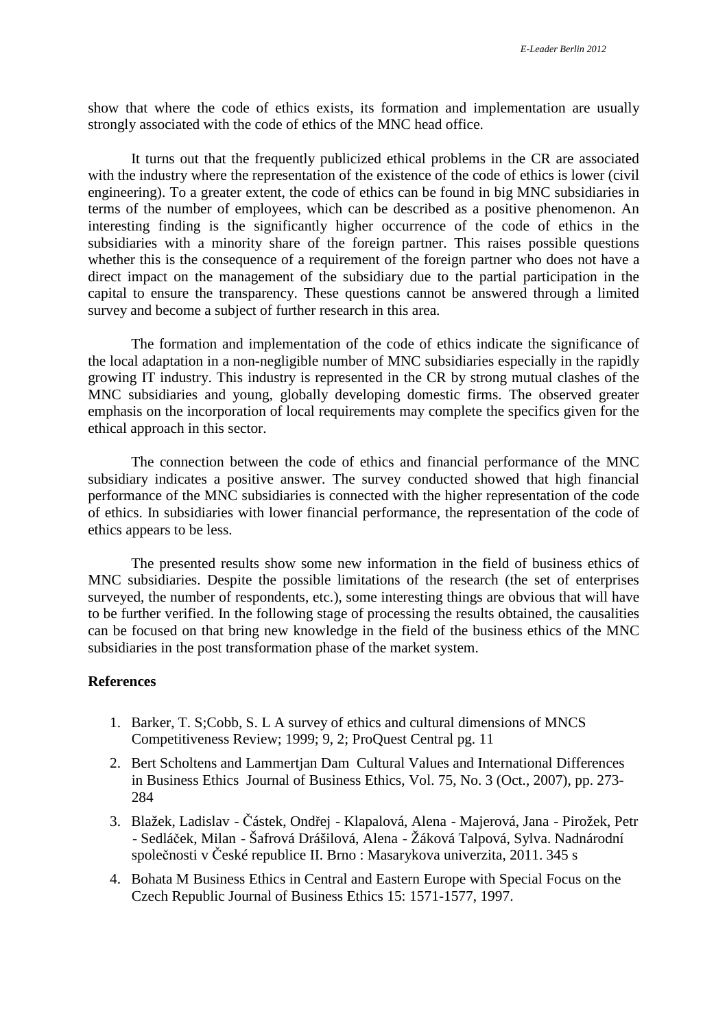show that where the code of ethics exists, its formation and implementation are usually strongly associated with the code of ethics of the MNC head office.

It turns out that the frequently publicized ethical problems in the CR are associated with the industry where the representation of the existence of the code of ethics is lower (civil engineering). To a greater extent, the code of ethics can be found in big MNC subsidiaries in terms of the number of employees, which can be described as a positive phenomenon. An interesting finding is the significantly higher occurrence of the code of ethics in the subsidiaries with a minority share of the foreign partner. This raises possible questions whether this is the consequence of a requirement of the foreign partner who does not have a direct impact on the management of the subsidiary due to the partial participation in the capital to ensure the transparency. These questions cannot be answered through a limited survey and become a subject of further research in this area.

The formation and implementation of the code of ethics indicate the significance of the local adaptation in a non-negligible number of MNC subsidiaries especially in the rapidly growing IT industry. This industry is represented in the CR by strong mutual clashes of the MNC subsidiaries and young, globally developing domestic firms. The observed greater emphasis on the incorporation of local requirements may complete the specifics given for the ethical approach in this sector.

The connection between the code of ethics and financial performance of the MNC subsidiary indicates a positive answer. The survey conducted showed that high financial performance of the MNC subsidiaries is connected with the higher representation of the code of ethics. In subsidiaries with lower financial performance, the representation of the code of ethics appears to be less.

The presented results show some new information in the field of business ethics of MNC subsidiaries. Despite the possible limitations of the research (the set of enterprises surveyed, the number of respondents, etc.), some interesting things are obvious that will have to be further verified. In the following stage of processing the results obtained, the causalities can be focused on that bring new knowledge in the field of the business ethics of the MNC subsidiaries in the post transformation phase of the market system.

### **References**

- 1. Barker, T. S;Cobb, S. L A survey of ethics and cultural dimensions of MNCS Competitiveness Review; 1999; 9, 2; ProQuest Central pg. 11
- 2. Bert Scholtens and Lammertjan Dam Cultural Values and International Differences in Business Ethics Journal of Business Ethics, Vol. 75, No. 3 (Oct., 2007), pp. 273- 284
- 3. Blažek, Ladislav Částek, Ondřej Klapalová, Alena Majerová, Jana Pirožek, Petr - Sedláček, Milan - Šafrová Drášilová, Alena - Žáková Talpová, Sylva. Nadnárodní společnosti v České republice II. Brno : Masarykova univerzita, 2011. 345 s
- 4. Bohata M Business Ethics in Central and Eastern Europe with Special Focus on the Czech Republic Journal of Business Ethics 15: 1571-1577, 1997.